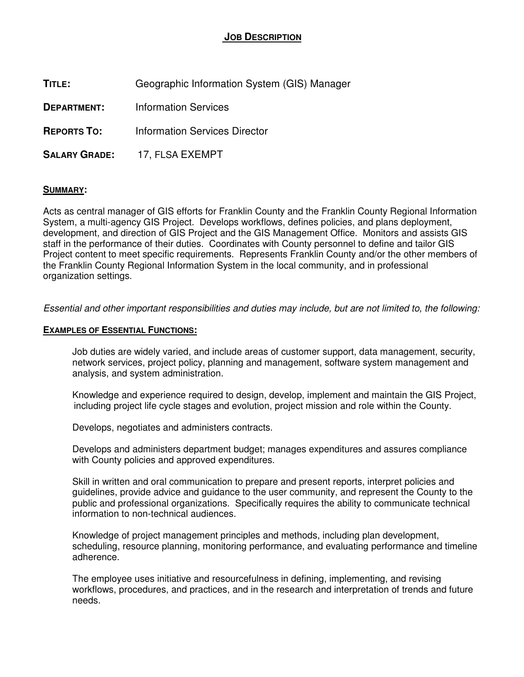# **JOB DESCRIPTION**

| Geographic Information System (GIS) Manager |
|---------------------------------------------|
| <b>Information Services</b>                 |
| Information Services Director               |
| SALARY GRADE: 17, FLSA EXEMPT               |
|                                             |

# **SUMMARY:**

Acts as central manager of GIS efforts for Franklin County and the Franklin County Regional Information System, a multi-agency GIS Project. Develops workflows, defines policies, and plans deployment, development, and direction of GIS Project and the GIS Management Office. Monitors and assists GIS staff in the performance of their duties. Coordinates with County personnel to define and tailor GIS Project content to meet specific requirements. Represents Franklin County and/or the other members of the Franklin County Regional Information System in the local community, and in professional organization settings.

Essential and other important responsibilities and duties may include, but are not limited to, the following:

### **EXAMPLES OF ESSENTIAL FUNCTIONS:**

Job duties are widely varied, and include areas of customer support, data management, security, network services, project policy, planning and management, software system management and analysis, and system administration.

Knowledge and experience required to design, develop, implement and maintain the GIS Project, including project life cycle stages and evolution, project mission and role within the County.

Develops, negotiates and administers contracts.

Develops and administers department budget; manages expenditures and assures compliance with County policies and approved expenditures.

Skill in written and oral communication to prepare and present reports, interpret policies and guidelines, provide advice and guidance to the user community, and represent the County to the public and professional organizations. Specifically requires the ability to communicate technical information to non-technical audiences.

Knowledge of project management principles and methods, including plan development, scheduling, resource planning, monitoring performance, and evaluating performance and timeline adherence.

The employee uses initiative and resourcefulness in defining, implementing, and revising workflows, procedures, and practices, and in the research and interpretation of trends and future needs.